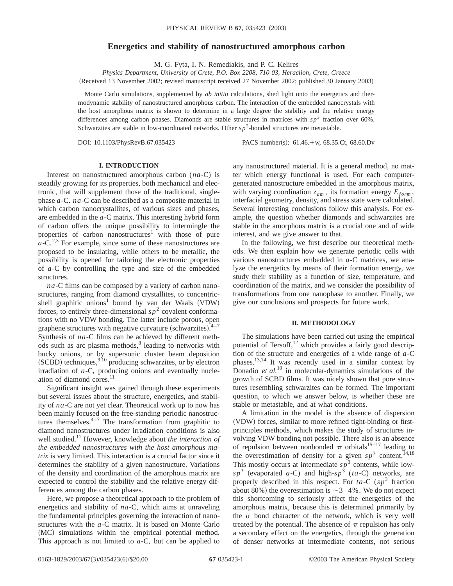# **Energetics and stability of nanostructured amorphous carbon**

M. G. Fyta, I. N. Remediakis, and P. C. Kelires

*Physics Department, University of Crete, P.O. Box 2208, 710 03, Heraclion, Crete, Greece*

(Received 13 November 2002; revised manuscript received 27 November 2002; published 30 January 2003)

Monte Carlo simulations, supplemented by *ab initio* calculations, shed light onto the energetics and thermodynamic stability of nanostructured amorphous carbon. The interaction of the embedded nanocrystals with the host amorphous matrix is shown to determine in a large degree the stability and the relative energy differences among carbon phases. Diamonds are stable structures in matrices with  $s p<sup>3</sup>$  fraction over 60%. Schwarzites are stable in low-coordinated networks. Other *sp*2-bonded structures are metastable.

DOI: 10.1103/PhysRevB.67.035423 PACS number(s): 61.46.+w, 68.35.Ct, 68.60.Dv

# **I. INTRODUCTION**

Interest on nanostructured amorphous carbon (*na*-C) is steadily growing for its properties, both mechanical and electronic, that will supplement those of the traditional, singlephase *a*-C. *na*-C can be described as a composite material in which carbon nanocrystallites, of various sizes and phases, are embedded in the *a*-C matrix. This interesting hybrid form of carbon offers the unique possibility to intermingle the properties of carbon nanostructures<sup>1</sup> with those of pure  $a$ -C.<sup>2,3</sup> For example, since some of these nanostructures are proposed to be insulating, while others to be metallic, the possibility is opened for tailoring the electronic properties of *a*-C by controlling the type and size of the embedded structures.

*na*-C films can be composed by a variety of carbon nanostructures, ranging from diamond crystallites, to concentricshell graphitic onions<sup>1</sup> bound by van der Waals  $(VDW)$ forces, to entirely three-dimensional  $sp<sup>2</sup>$  covalent conformations with no VDW bonding. The latter include porous, open graphene structures with negative curvature (schwarzites). $4-7$ Synthesis of *na*-C films can be achieved by different methods such as arc plasma methods, $8$  leading to networks with bucky onions, or by supersonic cluster beam deposition  $(SCBD)$  techniques,  $9,10$  producing schwarzites, or by electron irradiation of *a*-C, producing onions and eventually nucleation of diamond cores. $^{11}$ 

Significant insight was gained through these experiments but several issues about the structure, energetics, and stability of *na*-C are not yet clear. Theoretical work up to now has been mainly focused on the free-standing periodic nanostructures themselves. $4-7$  The transformation from graphitic to diamond nanostructures under irradiation conditions is also well studied.11 However, knowledge about *the interaction of the embedded nanostructures with the host amorphous matrix* is very limited. This interaction is a crucial factor since it determines the stability of a given nanostructure. Variations of the density and coordination of the amorphous matrix are expected to control the stability and the relative energy differences among the carbon phases.

Here, we propose a theoretical approach to the problem of energetics and stability of *na*-C, which aims at unraveling the fundamental principles governing the interaction of nanostructures with the *a*-C matrix. It is based on Monte Carlo (MC) simulations within the empirical potential method. This approach is not limited to *a*-C, but can be applied to

any nanostructured material. It is a general method, no matter which energy functional is used. For each computergenerated nanostructure embedded in the amorphous matrix, with varying coordination  $z_{am}$ , its formation energy  $E_{form}$ , interfacial geometry, density, and stress state were calculated. Several interesting conclusions follow this analysis. For example, the question whether diamonds and schwarzites are stable in the amorphous matrix is a crucial one and of wide interest, and we give answer to that.

In the following, we first describe our theoretical methods. We then explain how we generate periodic cells with various nanostructures embedded in *a*-C matrices, we analyze the energetics by means of their formation energy, we study their stability as a function of size, temperature, and coordination of the matrix, and we consider the possibility of transformations from one nanophase to another. Finally, we give our conclusions and prospects for future work.

### **II. METHODOLOGY**

The simulations have been carried out using the empirical potential of Tersoff, $^{12}$  which provides a fairly good description of the structure and energetics of a wide range of *a*-C phases.<sup>13,14</sup> It was recently used in a similar context by Donadio *et al.*<sup>10</sup> in molecular-dynamics simulations of the growth of SCBD films. It was nicely shown that pore structures resembling schwarzites can be formed. The important question, to which we answer below, is whether these are stable or metastable, and at what conditions.

A limitation in the model is the absence of dispersion ~VDW! forces, similar to more refined tight-binding or firstprinciples methods, which makes the study of structures involving VDW bonding not possible. There also is an absence of repulsion between nonbonded  $\pi$  orbitals<sup>15–17</sup> leading to the overestimation of density for a given  $sp^3$  content.<sup>14,18</sup> This mostly occurs at intermediate *sp*<sup>3</sup> contents, while low $s p^3$  (evaporated *a*-C) and high- $s p^3$  (*ta*-C) networks, are properly described in this respect. For  $ta-C$  ( $sp<sup>3</sup>$  fraction about 80%) the overestimation is  $\sim$  3–4%. We do not expect this shortcoming to seriously affect the energetics of the amorphous matrix, because this is determined primarily by the  $\sigma$  bond character of the network, which is very well treated by the potential. The absence of  $\pi$  repulsion has only a secondary effect on the energetics, through the generation of denser networks at intermediate contents, not serious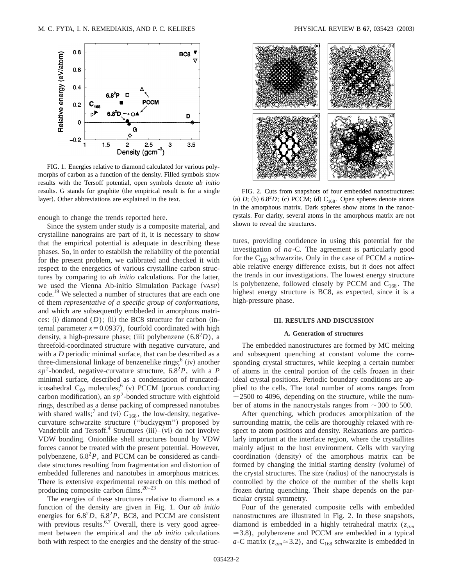

FIG. 1. Energies relative to diamond calculated for various polymorphs of carbon as a function of the density. Filled symbols show results with the Tersoff potential, open symbols denote *ab initio* results. G stands for graphite (the empirical result is for a single layer). Other abbreviations are explained in the text.

enough to change the trends reported here.

Since the system under study is a composite material, and crystalline nanograins are part of it, it is necessary to show that the empirical potential is adequate in describing these phases. So, in order to establish the reliability of the potential for the present problem, we calibrated and checked it with respect to the energetics of various crystalline carbon structures by comparing to *ab initio* calculations. For the latter, we used the Vienna Ab-initio Simulation Package (VASP) code.<sup>19</sup> We selected a number of structures that are each one of them *representative of a specific group of conformations*, and which are subsequently embbeded in amorphous matrices: (i) diamond  $(D)$ ; (ii) the BC8 structure for carbon (internal parameter  $x=0.0937$ , fourfold coordinated with high density, a high-pressure phase; (iii) polybenzene  $(6.8<sup>2</sup>D)$ , a threefold-coordinated structure with negative curvature, and with a *D* periodic minimal surface, that can be described as a three-dimensional linkage of benzenelike rings; $<sup>6</sup>$  (iv) another</sup>  $s p^2$ -bonded, negative-curvature structure,  $6.8^2 P$ , with a P minimal surface, described as a condensation of truncatedicosahedral  $C_{60}$  molecules;<sup>6</sup> (v) PCCM (porous conducting carbon modification), an  $sp^2$ -bonded structure with eightfold rings, described as a dense packing of compressed nanotubes with shared walls;<sup>7</sup> and (vi)  $C_{168}$ , the low-density, negativecurvature schwarzite structure ("buckygym") proposed by Vanderbilt and Tersoff.<sup>4</sup> Structures  $(iii)$ – $(vi)$  do not involve VDW bonding. Onionlike shell structures bound by VDW forces cannot be treated with the present potential. However, polybenzene,  $6.8^2P$ , and PCCM can be considered as candidate structures resulting from fragmentation and distortion of embedded fullerenes and nanotubes in amorphous matrices. There is extensive experimental research on this method of producing composite carbon films. $20-23$ 

The energies of these structures relative to diamond as a function of the density are given in Fig. 1. Our *ab initio* energies for  $6.8^2D$ ,  $6.8^2P$ , BC8, and PCCM are consistent with previous results.<sup>6,7</sup> Overall, there is very good agreement between the empirical and the *ab initio* calculations both with respect to the energies and the density of the struc-



FIG. 2. Cuts from snapshots of four embedded nanostructures: (a)  $D$ ; (b)  $6.8<sup>2</sup>D$ ; (c) PCCM; (d)  $C_{168}$ . Open spheres denote atoms in the amorphous matrix. Dark spheres show atoms in the nanocrystals. For clarity, several atoms in the amorphous matrix are not shown to reveal the structures.

tures, providing confidence in using this potential for the investigation of *na*-C. The agreement is particularly good for the  $C_{168}$  schwarzite. Only in the case of PCCM a noticeable relative energy difference exists, but it does not affect the trends in our investigations. The lowest energy structure is polybenzene, followed closely by PCCM and  $C_{168}$ . The highest energy structure is BC8, as expected, since it is a high-pressure phase.

### **III. RESULTS AND DISCUSSION**

#### **A. Generation of structures**

The embedded nanostructures are formed by MC melting and subsequent quenching at constant volume the corresponding crystal structures, while keeping a certain number of atoms in the central portion of the cells frozen in their ideal crystal positions. Periodic boundary conditions are applied to the cells. The total number of atoms ranges from  $\sim$  2500 to 4096, depending on the structure, while the number of atoms in the nanocrystals ranges from  $\sim$  300 to 500.

After quenching, which produces amorphization of the surrounding matrix, the cells are thoroughly relaxed with respect to atom positions and density. Relaxations are particularly important at the interface region, where the crystallites mainly adjust to the host environment. Cells with varying coordination (density) of the amorphous matrix can be formed by changing the initial starting density (volume) of the crystal structures. The size (radius) of the nanocrystals is controlled by the choice of the number of the shells kept frozen during quenching. Their shape depends on the particular crystal symmetry.

Four of the generated composite cells with embedded nanostructures are illustrated in Fig. 2. In these snapshots, diamond is embedded in a highly tetrahedral matrix (*zam*  $\approx$  3.8), polybenzene and PCCM are embedded in a typical *a*-C matrix ( $z_{am} \approx 3.2$ ), and C<sub>168</sub> schwarzite is embedded in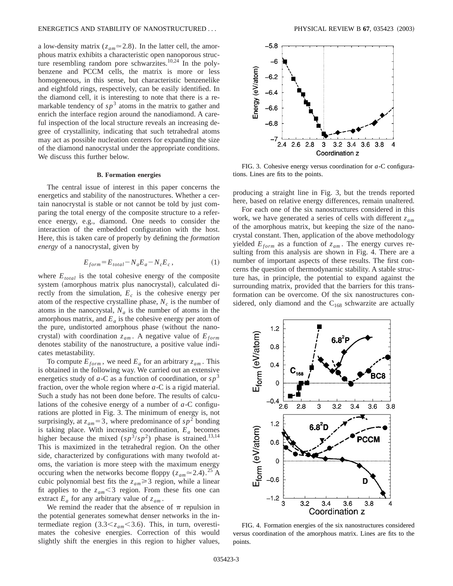a low-density matrix ( $z_{am} \approx 2.8$ ). In the latter cell, the amorphous matrix exhibits a characteristic open nanoporous structure resembling random pore schwarzites.<sup>10,24</sup> In the polybenzene and PCCM cells, the matrix is more or less homogeneous, in this sense, but characteristic benzenelike and eightfold rings, respectively, can be easily identified. In the diamond cell, it is interesting to note that there is a remarkable tendency of  $sp^3$  atoms in the matrix to gather and enrich the interface region around the nanodiamond. A careful inspection of the local structure reveals an increasing degree of crystallinity, indicating that such tetrahedral atoms may act as possible nucleation centers for expanding the size of the diamond nanocrystal under the appropriate conditions. We discuss this further below.

### **B. Formation energies**

The central issue of interest in this paper concerns the energetics and stability of the nanostructures. Whether a certain nanocrystal is stable or not cannot be told by just comparing the total energy of the composite structure to a reference energy, e.g., diamond. One needs to consider the interaction of the embedded configuration with the host. Here, this is taken care of properly by defining the *formation energy* of a nanocrystal, given by

$$
E_{form} = E_{total} - N_a E_a - N_c E_c, \qquad (1)
$$

where  $E_{total}$  is the total cohesive energy of the composite system (amorphous matrix plus nanocrystal), calculated directly from the simulation,  $E_c$  is the cohesive energy per atom of the respective crystalline phase,  $N_c$  is the number of atoms in the nanocrystal,  $N_a$  is the number of atoms in the amorphous matrix, and  $E_a$  is the cohesive energy per atom of the pure, undistorted amorphous phase (without the nanocrystal) with coordination  $z_{am}$ . A negative value of  $E_{form}$ denotes stability of the nanostructure, a positive value indicates metastability.

To compute  $E_{form}$ , we need  $E_a$  for an arbitrary  $z_{am}$ . This is obtained in the following way. We carried out an extensive energetics study of  $a$ -C as a function of coordination, or  $s p<sup>3</sup>$ fraction, over the whole region where *a*-C is a rigid material. Such a study has not been done before. The results of calculations of the cohesive energy of a number of *a*-C configurations are plotted in Fig. 3. The minimum of energy is, not surprisingly, at  $z_{am} = 3$ , where predominance of  $sp^2$  bonding is taking place. With increasing coordination,  $E_a$  becomes higher because the mixed  $(sp^3/sp^2)$  phase is strained.<sup>13,14</sup> This is maximized in the tetrahedral region. On the other side, characterized by configurations with many twofold atoms, the variation is more steep with the maximum energy occuring when the networks become floppy ( $z_{am} \approx 2.4$ ).<sup>25</sup> A cubic polynomial best fits the  $z_{am} \geq 3$  region, while a linear fit applies to the  $z_{am}$ <3 region. From these fits one can extract  $E_a$  for any arbitrary value of  $z_{am}$ .

We remind the reader that the absence of  $\pi$  repulsion in the potential generates somewhat denser networks in the intermediate region (3.3 $\lt z_{am}$  $\lt$ 3.6). This, in turn, overestimates the cohesive energies. Correction of this would slightly shift the energies in this region to higher values,



FIG. 3. Cohesive energy versus coordination for *a*-C configurations. Lines are fits to the points.

producing a straight line in Fig. 3, but the trends reported here, based on relative energy differences, remain unaltered.

For each one of the six nanostructures considered in this work, we have generated a series of cells with different *zam* of the amorphous matrix, but keeping the size of the nanocrystal constant. Then, application of the above methodology yielded  $E_{form}$  as a function of  $z_{am}$ . The energy curves resulting from this analysis are shown in Fig. 4. There are a number of important aspects of these results. The first concerns the question of thermodynamic stability. A stable structure has, in principle, the potential to expand against the surrounding matrix, provided that the barriers for this transformation can be overcome. Of the six nanostructures considered, only diamond and the  $C_{168}$  schwarzite are actually



FIG. 4. Formation energies of the six nanostructures considered versus coordination of the amorphous matrix. Lines are fits to the points.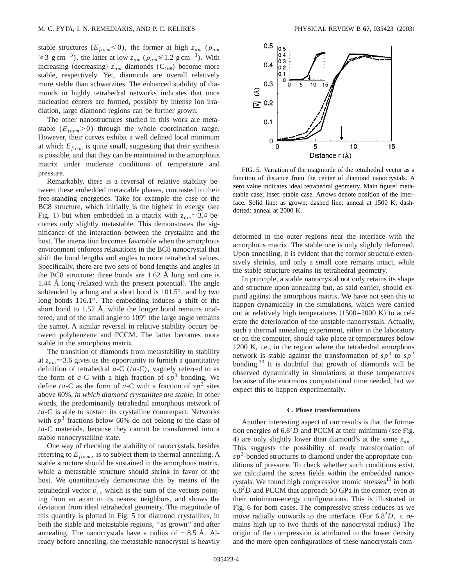stable structures ( $E_{form}$ <0), the former at high  $z_{am}$  ( $\rho_{am}$ )  $\geq 3$  g cm<sup>-3</sup>), the latter at low  $z_{am}$  ( $\rho_{am} \leq 1.2$  g cm<sup>-3</sup>). With increasing (decreasing)  $z_{am}$  diamonds (C<sub>168</sub>) become more stable, respectively. Yet, diamonds are overall relatively more stable than schwarzites. The enhanced stability of diamonds in highly tetrahedral networks indicates that once nucleation centers are formed, possibly by intense ion irradiation, large diamond regions can be further grown.

The other nanostructures studied in this work are metastable  $(E_{form} > 0)$  through the whole coordination range. However, their curves exhibit a well defined local minimum at which  $E_{form}$  is quite small, suggesting that their synthesis is possible, and that they can be maintained in the amorphous matrix under moderate conditions of temperature and pressure.

Remarkably, there is a reversal of relative stability between these embedded metastable phases, contrasted to their free-standing energetics. Take for example the case of the  $BC8$  structure, which initially is the highest in energy (see Fig. 1) but when embedded in a matrix with  $z_{am} \approx 3.4$  becomes only slightly metastable. This demonstrates the significance of the interaction between the crystallite and the host. The interaction becomes favorable when the amorphous environment enforces relaxations in the BC8 nanocrystal that shift the bond lengths and angles to more tetrahedral values. Specifically, there are two sets of bond lengths and angles in the BC8 structure: three bonds are 1.62 Å long and one is  $1.44$  Å long (relaxed with the present potential). The angle subtended by a long and a short bond is 101.5°, and by two long bonds 116.1°. The embedding induces a shift of the short bond to 1.52 Å, while the longer bond remains unaltered, and of the small angle to  $109°$  (the large angle remains the same). A similar reversal in relative stability occurs between polybenzene and PCCM. The latter becomes more stable in the amorphous matrix.

The transition of diamonds from metastability to stability at  $z_{am} \approx 3.6$  gives us the opportunity to furnish a quantitative definition of tetrahedral *a*-C (*ta*-C), vaguely referred to as the form of  $a$ -C with a high fraction of  $sp<sup>3</sup>$  bonding. We define *ta*-C as the form of *a*-C with a fraction of  $sp^3$  sites above 60%, *in which diamond crystallites are stable*. In other words, the predominantly tetrahedral amorphous network of *ta*-C is able to sustain its crystalline counterpart. Networks with  $sp^3$  fractions below 60% do not belong to the class of *ta*-C materials, because they cannot be transformed into a stable nanocrystalline state.

One way of checking the stability of nanocrystals, besides referring to  $E_{form}$ , is to subject them to thermal annealing. A stable structure should be sustained in the amorphous matrix, while a metastable structure should shrink in favor of the host. We quantitatively demonstrate this by means of the tetrahedral vector  $v_t$ , which is the sum of the vectors pointing from an atom to its nearest neighbors, and shows the deviation from ideal tetrahedral geometry. The magnitude of this quantity is plotted in Fig. 5 for diamond crystallites, in both the stable and metastable regions, ''as grown'' and after annealing. The nanocrystals have a radius of  $\sim 8.5$  Å. Already before annealing, the metastable nanocrystal is heavily



FIG. 5. Variation of the magnitude of the tetrahedral vector as a function of distance from the center of diamond nanocrystals. A zero value indicates ideal tetrahedral geometry. Main figure: metastable case; inset: stable case. Arrows denote position of the interface. Solid line: as grown; dashed line: anneal at 1500 K; dashdotted: anneal at 2000 K.

deformed in the outer regions near the interface with the amorphous matrix. The stable one is only slightly deformed. Upon annealing, it is evident that the former structure extensively shrinks, and only a small core remains intact, while the stable structure retains its tetrahedral geometry.

In principle, a stable nanocrystal not only retains its shape and structure upon annealing but, as said earlier, should expand against the amorphous matrix. We have not seen this to happen dynamically in the simulations, which were carried out at relatively high temperatures  $(1500-2000 \text{ K})$  to accelerate the deterioration of the unstable nanocrystals. Actually, such a thermal annealing experiment, either in the laboratory or on the computer, should take place at temperatures below 1200 K, i.e., in the region where the tetrahedral amorphous network is stable against the transformation of  $sp^3$  to  $sp^2$ bonding.13 It is doubtful that growth of diamonds will be observed dynamically in simulations at these temperatures because of the enormous computational time needed, but we expect this to happen experimentally.

#### **C. Phase transformations**

Another interesting aspect of our results is that the formation energies of  $6.8^2D$  and PCCM at their minimum (see Fig. 4) are only slightly lower than diamond's at the same  $z_{am}$ . This suggests the possibility of ready transformation of  $s p<sup>2</sup>$ -bonded structures to diamond under the appropriate conditions of pressure. To check whether such conditions exist, we calculated the stress fields within the embedded nanocrystals. We found high compressive atomic stresses $13$  in both  $6.8<sup>2</sup>D$  and PCCM that approach 50 GPa in the center, even at their minimum-energy configurations. This is illustrated in Fig. 6 for both cases. The compressive stress reduces as we move radially outwards to the interface. (For  $6.8<sup>2</sup>D$ , it remains high up to two thirds of the nanocrystal radius.) The origin of the compression is attributed to the lower density and the more open configurations of these nanocrystals com-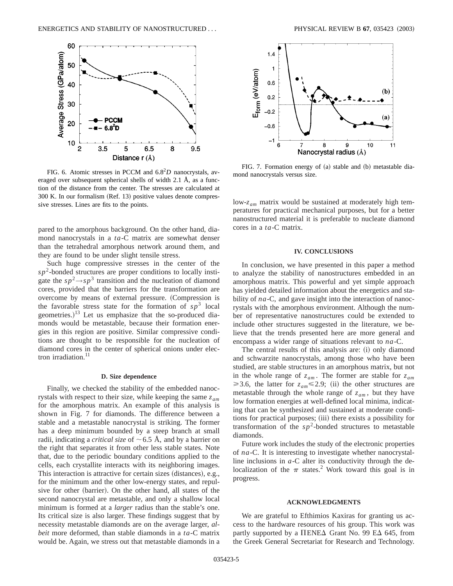

FIG. 6. Atomic stresses in PCCM and 6.82*D* nanocrystals, averaged over subsequent spherical shells of width 2.1 Å, as a function of the distance from the center. The stresses are calculated at  $300$  K. In our formalism (Ref. 13) positive values denote compressive stresses. Lines are fits to the points.

pared to the amorphous background. On the other hand, diamond nanocrystals in a *ta*-C matrix are somewhat denser than the tetrahedral amorphous network around them, and they are found to be under slight tensile stress.

Such huge compressive stresses in the center of the  $sp^2$ -bonded structures are proper conditions to locally instigate the  $s p^2 \rightarrow s p^3$  transition and the nucleation of diamond cores, provided that the barriers for the transformation are overcome by means of external pressure. (Compression is the favorable stress state for the formation of  $s p<sup>3</sup>$  local geometries.) $13$  Let us emphasize that the so-produced diamonds would be metastable, because their formation energies in this region are positive. Similar compressive conditions are thought to be responsible for the nucleation of diamond cores in the center of spherical onions under electron irradiation. $11$ 

#### **D. Size dependence**

Finally, we checked the stability of the embedded nanocrystals with respect to their size, while keeping the same *zam* for the amorphous matrix. An example of this analysis is shown in Fig. 7 for diamonds. The difference between a stable and a metastable nanocrystal is striking. The former has a deep minimum bounded by a steep branch at small radii, indicating a *critical size* of  $\sim$  6.5 Å, and by a barrier on the right that separates it from other less stable states. Note that, due to the periodic boundary conditions applied to the cells, each crystallite interacts with its neighboring images. This interaction is attractive for certain sizes (distances), e.g., for the minimum and the other low-energy states, and repulsive for other (barrier). On the other hand, all states of the second nanocrystal are metastable, and only a shallow local minimum is formed at a *larger* radius than the stable's one. Its critical size is also larger. These findings suggest that by necessity metastable diamonds are on the average larger, *albeit* more deformed, than stable diamonds in a *ta*-C matrix would be. Again, we stress out that metastable diamonds in a



FIG. 7. Formation energy of (a) stable and (b) metastable diamond nanocrystals versus size.

low-*zam* matrix would be sustained at moderately high temperatures for practical mechanical purposes, but for a better nanostructured material it is preferable to nucleate diamond cores in a *ta*-C matrix.

## **IV. CONCLUSIONS**

In conclusion, we have presented in this paper a method to analyze the stability of nanostructures embedded in an amorphous matrix. This powerful and yet simple approach has yielded detailed information about the energetics and stability of *na*-C, and gave insight into the interaction of nanocrystals with the amorphous environment. Although the number of representative nanostructures could be extended to include other structures suggested in the literature, we believe that the trends presented here are more general and encompass a wider range of situations relevant to *na*-C.

The central results of this analysis are: (i) only diamond and schwarzite nanocrystals, among those who have been studied, are stable structures in an amorphous matrix, but not in the whole range of  $z_{am}$ . The former are stable for  $z_{am}$  $\geq$ 3.6, the latter for  $z_{am} \leq$ 2.9; (ii) the other structures are metastable through the whole range of  $z_{am}$ , but they have low formation energies at well-defined local minima, indicating that can be synthesized and sustained at moderate conditions for practical purposes; (iii) there exists a possibility for transformation of the  $sp^2$ -bonded structures to metastable diamonds.

Future work includes the study of the electronic properties of *na*-C. It is interesting to investigate whether nanocrystalline inclusions in *a*-C alter its conductivity through the delocalization of the  $\pi$  states.<sup>2</sup> Work toward this goal is in progress.

#### **ACKNOWLEDGMENTS**

We are grateful to Efthimios Kaxiras for granting us access to the hardware resources of his group. This work was partly supported by a  $\Pi$ ENE $\Delta$  Grant No. 99 E $\Delta$  645, from the Greek General Secretariat for Research and Technology.